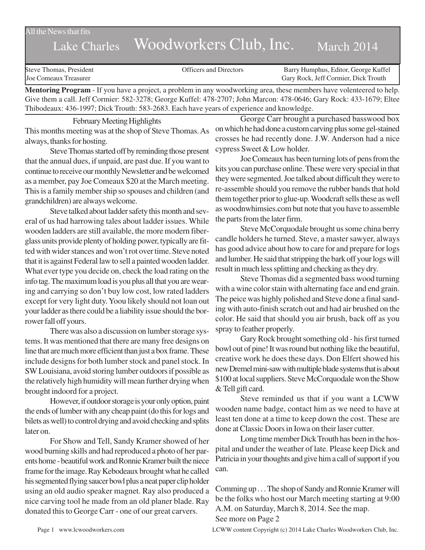All the News that fits

# Lake Charles Woodworkers Club, Inc. March 2014

| Joe Comeaux Treasurer<br>Gary Rock, Jeff Cormier, Dick Trouth | Steve Thomas, President | <b>Officers and Directors</b> | Barry Humphus, Editor, George Kuffel |
|---------------------------------------------------------------|-------------------------|-------------------------------|--------------------------------------|
|---------------------------------------------------------------|-------------------------|-------------------------------|--------------------------------------|

**Mentoring Program** - If you have a project, a problem in any woodworking area, these members have volenteered to help. Give them a call. Jeff Cormier: 582-3278; George Kuffel: 478-2707; John Marcon: 478-0646; Gary Rock: 433-1679; Eltee Thibodeaux: 436-1997; Dick Trouth: 583-2683. Each have years of experience and knowledge.

February Meeting Highlights This months meeting was at the shop of Steve Thomas. As always, thanks for hosting.

Steve Thomas started off by reminding those present that the annual dues, if unpaid, are past due. If you want to continue to receive our monthly Newsletter and be welcomed as a member, pay Joe Comeaux \$20 at the March meeting. This is a family member ship so spouses and children (and grandchildren) are always welcome.

Steve talked about ladder safety this month and several of us had harrowing tales about ladder issues. While wooden ladders are still available, the more modern fiberglass units provide plenty of holding power, typically are fitted with wider stances and won't rot over time. Steve noted that it is against Federal law to sell a painted wooden ladder. What ever type you decide on, check the load rating on the info tag. The maximum load is you plus all that you are wearing and carrying so don't buy low cost, low rated ladders except for very light duty. Yoou likely should not loan out your ladder as there could be a liability issue should the borrower fall off yours.

There was also a discussion on lumber storage systems. It was mentioned that there are many free designs on line that are much more efficient than just a box frame. These include designs for both lumber stock and panel stock. In SW Louisiana, avoid storing lumber outdoors if possible as the relatively high humidity will mean further drying when brought indoord for a project.

However, if outdoor storage is your only option, paint the ends of lumber with any cheap paint (do this for logs and bilets as well) to control drying and avoid checking and splits later on.

For Show and Tell, Sandy Kramer showed of her wood burning skills and had reproduced a photo of her parents home - beautiful work and Ronnie Kramer built the niece frame for the image. Ray Kebodeaux brought what he called his segmented flying saucer bowl plus a neat paper clip holder using an old audio speaker magnet. Ray also produced a nice carving tool he made from an old planer blade. Ray donated this to George Carr - one of our great carvers.

George Carr brought a purchased basswood box on which he had done a custom carving plus some gel-stained crosses he had recently done. J.W. Anderson had a nice cypress Sweet & Low holder.

Joe Comeaux has been turning lots of pens from the kits you can purchase online. These were very special in that they were segmented. Joe talked about difficult they were to re-assemble should you remove the rubber bands that hold them together prior to glue-up. Woodcraft sells these as well as woodnwhimsies.com but note that you have to assemble the parts from the later firm.

Steve McCorquodale brought us some china berry candle holders he turned. Steve, a master sawyer, always has good advice about how to care for and prepare for logs and lumber. He said that stripping the bark off your logs will result in much less splitting and checking as they dry.

Steve Thomas did a segmented bass wood turning with a wine color stain with alternating face and end grain. The peice was highly polished and Steve done a final sanding with auto-finish scratch out and had air brushed on the color. He said that should you air brush, back off as you spray to feather properly.

Gary Rock brought something old - his first turned bowl out of pine! It was round but nothing like the beautiful, creative work he does these days. Don Elfert showed his new Dremel mini-saw with multiple blade systems that is about \$100 at local suppliers. Steve McCorquodale won the Show & Tell gift card.

Steve reminded us that if you want a LCWW wooden name badge, contact him as we need to have at least ten done at a time to keep down the cost. These are done at Classic Doors in Iowa on their laser cutter.

Long time member Dick Trouth has been in the hospital and under the weather of late. Please keep Dick and Patricia in your thoughts and give him a call of support if you can.

Comming up . . . The shop of Sandy and Ronnie Kramer will be the folks who host our March meeting starting at 9:00 A.M. on Saturday, March 8, 2014. See the map. See more on Page 2

Page 1 www.lcwoodworkers.com LCWW content Copyright (c) 2014 Lake Charles Woodworkers Club, Inc.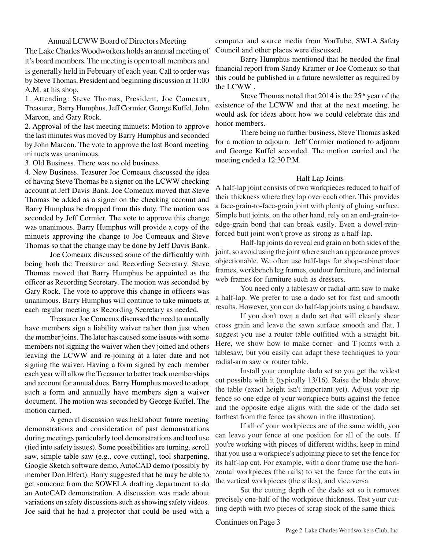#### Annual LCWW Board of Directors Meeting

The Lake Charles Woodworkers holds an annual meeting of it's board members. The meeting is open to all members and is generally held in February of each year. Call to order was by Steve Thomas, President and beginning discussion at 11:00 A.M. at his shop.

1. Attending: Steve Thomas, President, Joe Comeaux, Treasurer, Barry Humphus, Jeff Cormier, George Kuffel, John Marcon, and Gary Rock.

2. Approval of the last meeting minuets: Motion to approve the last minutes was moved by Barry Humphus and seconded by John Marcon. The vote to approve the last Board meeting minuets was unanimous.

3. Old Business. There was no old business.

4. New Business. Teasurer Joe Comeaux discussed the idea of having Steve Thomas be a signer on the LCWW checking account at Jeff Davis Bank. Joe Comeaux moved that Steve Thomas be added as a signer on the checking account and Barry Humphus be dropped from this duty. The motion was seconded by Jeff Cormier. The vote to approve this change was unanimous. Barry Humphus will provide a copy of the minuets approving the change to Joe Comeaux and Steve Thomas so that the change may be done by Jeff Davis Bank.

Joe Comeaux discussed some of the difficultly with being both the Treasurer and Recording Secretary. Steve Thomas moved that Barry Humphus be appointed as the officer as Recording Secretary. The motion was seconded by Gary Rock. The vote to approve this change in officers was unanimous. Barry Humphus will continue to take minuets at each regular meeting as Recording Secretary as needed.

Treasurer Joe Comeaux discussed the need to annually have members sign a liability waiver rather than just when the member joins. The later has caused some issues with some members not signing the waiver when they joined and others leaving the LCWW and re-joining at a later date and not signing the waiver. Having a form signed by each member each year will allow the Treasurer to better track memberships and account for annual dues. Barry Humphus moved to adopt such a form and annually have members sign a waiver document. The motion was seconded by George Kuffel. The motion carried.

A general discussion was held about future meeting demonstrations and consideration of past demonstrations during meetings particularly tool demonstrations and tool use (tied into safety issues). Some possibilities are turning, scroll saw, simple table saw (e.g., cove cutting), tool sharpening, Google Sketch software demo, AutoCAD demo (possibly by member Don Elfert). Barry suggested that he may be able to get someone from the SOWELA drafting department to do an AutoCAD demonstration. A discussion was made about variations on safety discussions such as showing safety videos. Joe said that he had a projector that could be used with a computer and source media from YouTube, SWLA Safety Council and other places were discussed.

Barry Humphus mentioned that he needed the final financial report from Sandy Kramer or Joe Comeaux so that this could be published in a future newsletter as required by the LCWW .

Steve Thomas noted that  $2014$  is the  $25<sup>th</sup>$  year of the existence of the LCWW and that at the next meeting, he would ask for ideas about how we could celebrate this and honor members.

There being no further business, Steve Thomas asked for a motion to adjourn. Jeff Cormier motioned to adjourn and George Kuffel seconded. The motion carried and the meeting ended a 12:30 P.M.

### Half Lap Joints

A half-lap joint consists of two workpieces reduced to half of their thickness where they lap over each other. This provides a face-grain-to-face-grain joint with plenty of gluing surface. Simple butt joints, on the other hand, rely on an end-grain-toedge-grain bond that can break easily. Even a dowel-reinforced butt joint won't prove as strong as a half-lap.

Half-lap joints do reveal end grain on both sides of the joint, so avoid using the joint where such an appearance proves objectionable. We often use half-laps for shop-cabinet door frames, workbench leg frames, outdoor furniture, and internal web frames for furniture such as dressers.

You need only a tablesaw or radial-arm saw to make a half-lap. We prefer to use a dado set for fast and smooth results. However, you can do half-lap joints using a bandsaw.

If you don't own a dado set that will cleanly shear cross grain and leave the sawn surface smooth and flat, I suggest you use a router table outfitted with a straight bit. Here, we show how to make corner- and T-joints with a tablesaw, but you easily can adapt these techniques to your radial-arm saw or router table.

Install your complete dado set so you get the widest cut possible with it (typically 13/16). Raise the blade above the table (exact height isn't important yet). Adjust your rip fence so one edge of your workpiece butts against the fence and the opposite edge aligns with the side of the dado set farthest from the fence (as shown in the illustration).

If all of your workpieces are of the same width, you can leave your fence at one position for all of the cuts. If you're working with pieces of different widths, keep in mind that you use a workpiece's adjoining piece to set the fence for its half-lap cut. For example, with a door frame use the horizontal workpieces (the rails) to set the fence for the cuts in the vertical workpieces (the stiles), and vice versa.

Set the cutting depth of the dado set so it removes precisely one-half of the workpiece thickness. Test your cutting depth with two pieces of scrap stock of the same thick

#### Continues on Page 3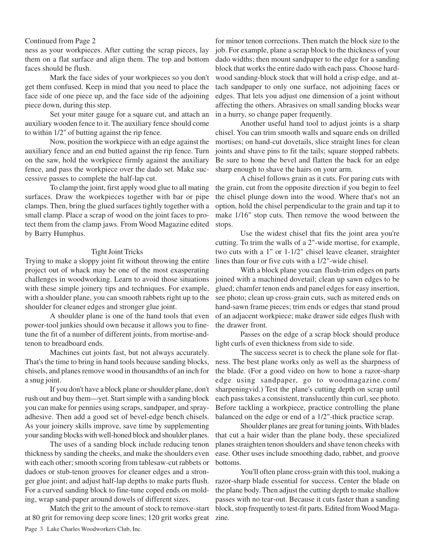#### Continued from Page 2

ness as your workpieces. After cutting the scrap pieces, lay them on a flat surface and align them. The top and bottom faces should be flush.

Mark the face sides of your workpieces so you don't get them confused. Keep in mind that you need to place the face side of one piece up, and the face side of the adjoining piece down, during this step.

Set your miter gauge for a square cut, and attach an auxiliary wooden fence to it. The auxiliary fence should come to within 1/2" of butting against the rip fence.

Now, position the workpiece with an edge against the auxiliary fence and an end butted against the rip fence. Turn on the saw, hold the workpiece firmly against the auxiliary fence, and pass the workpiece over the dado set. Make successive passes to complete the half-lap cut.

To clamp the joint, first apply wood glue to all mating surfaces. Draw the workpieces together with bar or pipe clamps. Then, bring the glued surfaces tightly together with a small clamp. Place a scrap of wood on the joint faces to protect them from the clamp jaws. From Wood Magazine edited by Barry Humphus.

#### Tight Joint Tricks

Trying to make a sloppy joint fit without throwing the entire project out of whack may be one of the most exasperating challenges in woodworking. Learn to avoid those situations with these simple joinery tips and techniques. For example, with a shoulder plane, you can smooth rabbets right up to the shoulder for cleaner edges and stronger glue joint.

A shoulder plane is one of the hand tools that even power-tool junkies should own because it allows you to finetune the fit of a number of different joints, from mortise-andtenon to breadboard ends.

Machines cut joints fast, but not always accurately. That's the time to bring in hand tools because sanding blocks, chisels, and planes remove wood in thousandths of an inch for a snug joint.

If you don't have a block plane or shoulder plane, don't rush out and buy them—yet. Start simple with a sanding block you can make for pennies using scraps, sandpaper, and sprayadhesive. Then add a good set of bevel-edge bench chisels. As your joinery skills improve, save time by supplementing your sanding blocks with well-honed block and shoulder planes.

The uses of a sanding block include reducing tenon thickness by sanding the cheeks, and make the shoulders even with each other; smooth scoring from tablesaw-cut rabbets or dadoes or stub-tenon grooves for cleaner edges and a stronger glue joint; and adjust half-lap depths to make parts flush. For a curved sanding block to fine-tune coped ends on molding, wrap sand-paper around dowels of different sizes.

Match the grit to the amount of stock to remove-start at 80 grit for removing deep score lines; 120 grit works great zine.

for minor tenon corrections. Then match the block size to the job. For example, plane a scrap block to the thickness of your dado widths; then mount sandpaper to the edge for a sanding block that works the entire dado with each pass. Choose hardwood sanding-block stock that will hold a crisp edge, and attach sandpaper to only one surface, not adjoining faces or edges. That lets you adjust one dimension of a joint without affecting the others. Abrasives on small sanding blocks wear in a hurry, so change paper frequently.

Another useful hand tool to adjust joints is a sharp chisel. You can trim smooth walls and square ends on drilled mortises; on hand-cut dovetails, slice straight lines for clean joints and shave pins to fit the tails; square stopped rabbets. Be sure to hone the bevel and flatten the back for an edge sharp enough to shave the hairs on your arm.

A chisel follows grain as it cuts. For paring cuts with the grain, cut from the opposite direction if you begin to feel the chisel plunge down into the wood. Where that's not an option, hold the chisel perpendicular to the grain and tap it to make 1/16" stop cuts. Then remove the wood between the stops.

Use the widest chisel that fits the joint area you're cutting. To trim the walls of a 2"-wide mortise, for example, two cuts with a 1" or 1-1/2" chisel leave cleaner, straighter lines than four or five cuts with a 1/2"-wide chisel.

With a block plane you can flush-trim edges on parts joined with a machined dovetail; clean up sawn edges to be glued; chamfer tenon ends and panel edges for easy insertion, see photo; clean up cross-grain cuts, such as mitered ends on hand-sawn frame pieces; trim ends or edges that stand proud of an adjacent workpiece; make drawer side edges flush with the drawer front.

Passes on the edge of a scrap block should produce light curls of even thickness from side to side.

The success secret is to check the plane sole for flatness. The best plane works only as well as the sharpness of the blade. (For a good video on how to hone a razor-sharp edge using sandpaper, go to woodmagazine.com/ sharpeningvid.) Test the plane's cutting depth on scrap until each pass takes a consistent, translucently thin curl, see photo. Before tackling a workpiece, practice controlling the plane balanced on the edge or end of a 1/2"-thick practice scrap.

Shoulder planes are great for tuning joints. With blades that cut a hair wider than the plane body, these specialized planes straighten tenon shoulders and shave tenon cheeks with ease. Other uses include smoothing dado, rabbet, and groove bottoms.

You'll often plane cross-grain with this tool, making a razor-sharp blade essential for success. Center the blade on the plane body. Then adjust the cutting depth to make shallow passes with no tear-out. Because it cuts faster than a sanding block, stop frequently to test-fit parts. Edited from Wood Maga-